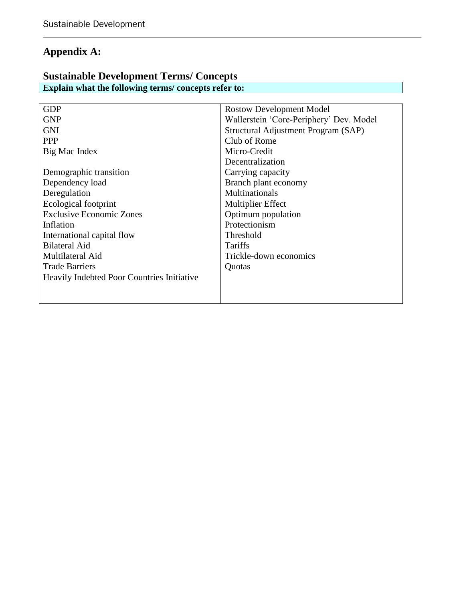## **Appendix A:**

### **Sustainable Development Terms/ Concepts Explain what the following terms/ concepts refer to:**

| <b>Rostow Development Model</b>         |
|-----------------------------------------|
| Wallerstein 'Core-Periphery' Dev. Model |
| Structural Adjustment Program (SAP)     |
| Club of Rome                            |
| Micro-Credit                            |
| Decentralization                        |
| Carrying capacity                       |
| Branch plant economy                    |
| Multinationals                          |
| <b>Multiplier Effect</b>                |
| Optimum population                      |
| Protectionism                           |
| Threshold                               |
| Tariffs                                 |
| Trickle-down economics                  |
| Quotas                                  |
|                                         |
|                                         |
|                                         |
|                                         |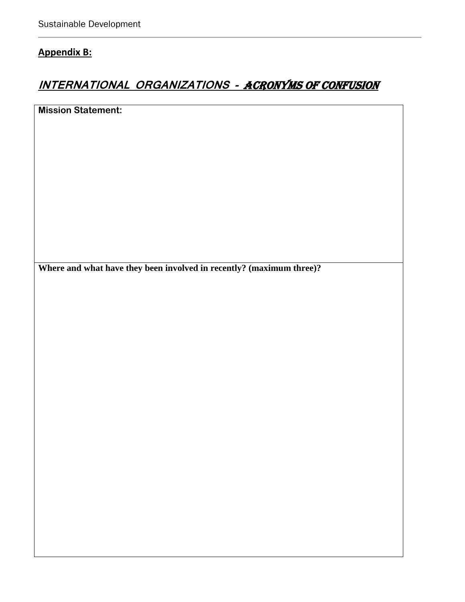## **Appendix B:**

## **INTERNATIONAL ORGANIZATIONS -** ACRONYMS OF CONFUSION

**Mission Statement:**

**Where and what have they been involved in recently? (maximum three)?**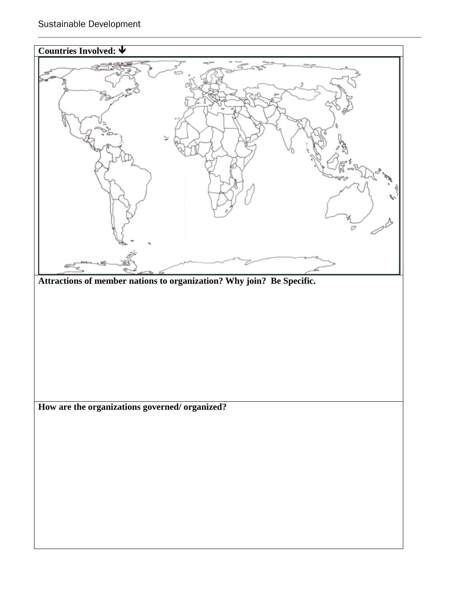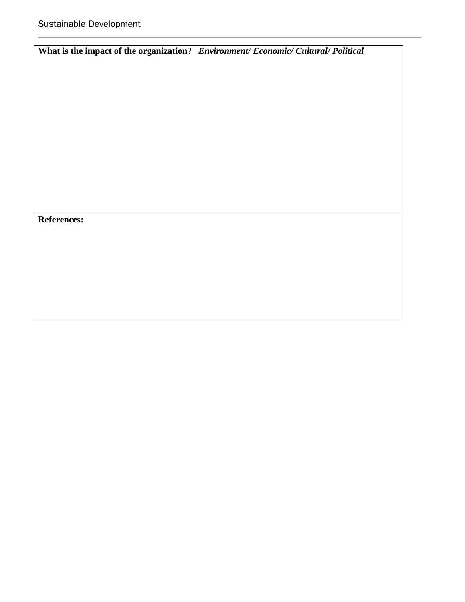|                    | What is the impact of the organization? Environment/ Economic/ Cultural/ Political |
|--------------------|------------------------------------------------------------------------------------|
|                    |                                                                                    |
|                    |                                                                                    |
|                    |                                                                                    |
|                    |                                                                                    |
|                    |                                                                                    |
|                    |                                                                                    |
|                    |                                                                                    |
|                    |                                                                                    |
|                    |                                                                                    |
| <b>References:</b> |                                                                                    |
|                    |                                                                                    |
|                    |                                                                                    |
|                    |                                                                                    |
|                    |                                                                                    |
|                    |                                                                                    |
|                    |                                                                                    |
|                    |                                                                                    |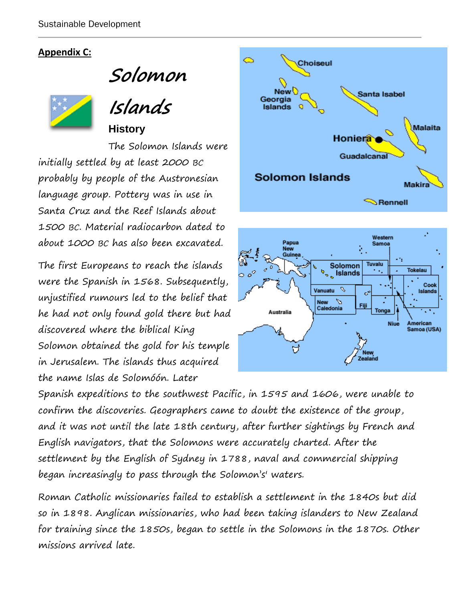### **Appendix C:**

**Solomon** 



**Islands History** 

The Solomon Islands were initially settled by at least 2000 BC probably by people of the Austronesian language group. Pottery was in use in Santa Cruz and the Reef Islands about 1500 BC. Material radiocarbon dated to about 1000 BC has also been excavated.

The first Europeans to reach the islands were the Spanish in 1568. Subsequently, unjustified rumours led to the belief that he had not only found gold there but had discovered where the biblical King Solomon obtained the gold for his temple in Jerusalem. The islands thus acquired the name Islas de Solomóón. Later





Spanish expeditions to the southwest Pacific, in 1595 and 1606, were unable to confirm the discoveries. Geographers came to doubt the existence of the group, and it was not until the late 18th century, after further sightings by French and English navigators, that the Solomons were accurately charted. After the settlement by the English of Sydney in 1788, naval and commercial shipping began increasingly to pass through the Solomon's' waters.

Roman Catholic missionaries failed to establish a settlement in the 1840s but did so in 1898. Anglican missionaries, who had been taking islanders to New Zealand for training since the 1850s, began to settle in the Solomons in the 1870s. Other missions arrived late.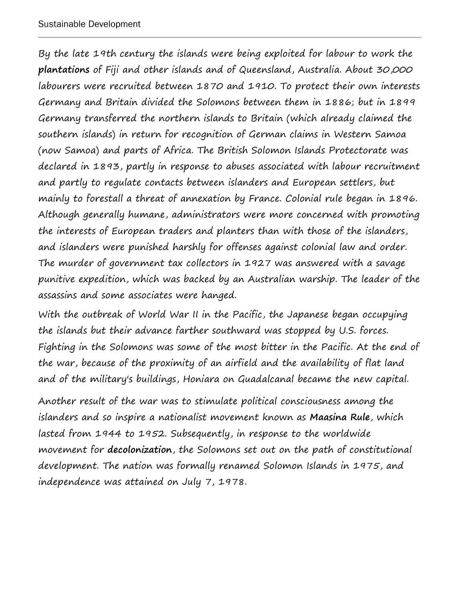By the late 19th century the islands were being exploited for labour to work the **plantations** of Fiji and other islands and of Queensland, Australia. About 30,000 labourers were recruited between 1870 and 1910. To protect their own interests Germany and Britain divided the Solomons between them in 1886; but in 1899 Germany transferred the northern islands to Britain (which already claimed the southern islands) in return for recognition of German claims in Western Samoa (now Samoa) and parts of Africa. The British Solomon Islands Protectorate was declared in 1893, partly in response to abuses associated with labour recruitment and partly to regulate contacts between islanders and European settlers, but mainly to forestall a threat of annexation by France. Colonial rule began in 1896. Although generally humane, administrators were more concerned with promoting the interests of European traders and planters than with those of the islanders, and islanders were punished harshly for offenses against colonial law and order. The murder of government tax collectors in 1927 was answered with a savage punitive expedition, which was backed by an Australian warship. The leader of the assassins and some associates were hanged.

With the outbreak of World War II in the Pacific, the Japanese began occupying the islands but their advance farther southward was stopped by U.S. forces. Fighting in the Solomons was some of the most bitter in the Pacific. At the end of the war, because of the proximity of an airfield and the availability of flat land and of the military's buildings, Honiara on Guadalcanal became the new capital.

Another result of the war was to stimulate political consciousness among the islanders and so inspire a nationalist movement known as **Maasina Rule**, which lasted from 1944 to 1952. Subsequently, in response to the worldwide movement for **decolonization**, the Solomons set out on the path of constitutional development. The nation was formally renamed Solomon Islands in 1975, and independence was attained on July 7, 1978.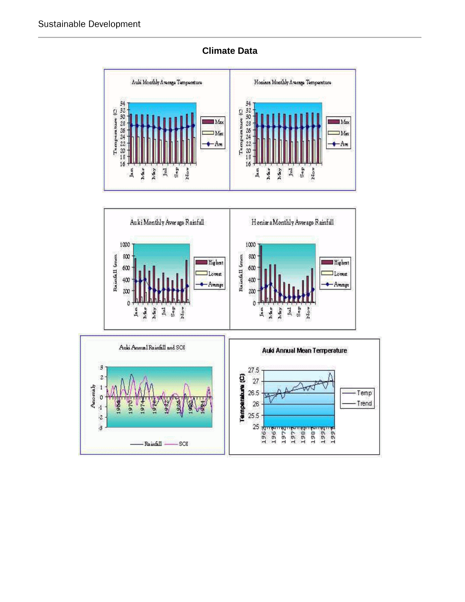

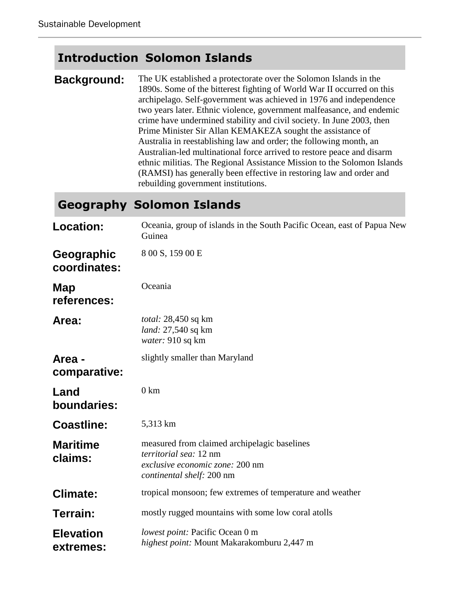## **Introduction Solomon Islands**

**Background:** The UK established a protectorate over the Solomon Islands in the 1890s. Some of the bitterest fighting of World War II occurred on this archipelago. Self-government was achieved in 1976 and independence two years later. Ethnic violence, government malfeasance, and endemic crime have undermined stability and civil society. In June 2003, then Prime Minister Sir Allan KEMAKEZA sought the assistance of Australia in reestablishing law and order; the following month, an Australian-led multinational force arrived to restore peace and disarm ethnic militias. The Regional Assistance Mission to the Solomon Islands (RAMSI) has generally been effective in restoring law and order and rebuilding government institutions.

## **Geography Solomon Islands**

| <b>Location:</b>              | Oceania, group of islands in the South Pacific Ocean, east of Papua New<br>Guinea                                                      |
|-------------------------------|----------------------------------------------------------------------------------------------------------------------------------------|
| Geographic<br>coordinates:    | 8 00 S, 159 00 E                                                                                                                       |
| Map<br>references:            | Oceania                                                                                                                                |
| Area:                         | <i>total:</i> 28,450 sq km<br>land: 27,540 sq km<br>water: 910 sq km                                                                   |
| Area -<br>comparative:        | slightly smaller than Maryland                                                                                                         |
| Land<br>boundaries:           | $0 \text{ km}$                                                                                                                         |
| <b>Coastline:</b>             | 5,313 km                                                                                                                               |
| <b>Maritime</b><br>claims:    | measured from claimed archipelagic baselines<br>territorial sea: 12 nm<br>exclusive economic zone: 200 nm<br>continental shelf: 200 nm |
| <b>Climate:</b>               | tropical monsoon; few extremes of temperature and weather                                                                              |
| Terrain:                      | mostly rugged mountains with some low coral atolls                                                                                     |
| <b>Elevation</b><br>extremes: | lowest point: Pacific Ocean 0 m<br>highest point: Mount Makarakomburu 2,447 m                                                          |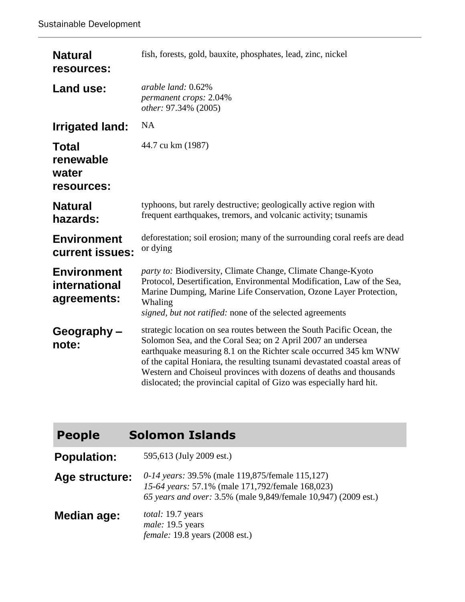| <b>Natural</b><br>resources:                       | fish, forests, gold, bauxite, phosphates, lead, zinc, nickel                                                                                                                                                                                                                                                                                                                                                                        |
|----------------------------------------------------|-------------------------------------------------------------------------------------------------------------------------------------------------------------------------------------------------------------------------------------------------------------------------------------------------------------------------------------------------------------------------------------------------------------------------------------|
| Land use:                                          | arable land: 0.62%<br>permanent crops: 2.04%<br>other: 97.34% (2005)                                                                                                                                                                                                                                                                                                                                                                |
| <b>Irrigated land:</b>                             | <b>NA</b>                                                                                                                                                                                                                                                                                                                                                                                                                           |
| <b>Total</b><br>renewable<br>water<br>resources:   | 44.7 cu km (1987)                                                                                                                                                                                                                                                                                                                                                                                                                   |
| <b>Natural</b><br>hazards:                         | typhoons, but rarely destructive; geologically active region with<br>frequent earthquakes, tremors, and volcanic activity; tsunamis                                                                                                                                                                                                                                                                                                 |
| <b>Environment</b><br>current issues:              | deforestation; soil erosion; many of the surrounding coral reefs are dead<br>or dying                                                                                                                                                                                                                                                                                                                                               |
| <b>Environment</b><br>international<br>agreements: | party to: Biodiversity, Climate Change, Climate Change-Kyoto<br>Protocol, Desertification, Environmental Modification, Law of the Sea,<br>Marine Dumping, Marine Life Conservation, Ozone Layer Protection,<br>Whaling<br>signed, but not ratified: none of the selected agreements                                                                                                                                                 |
| Geography-<br>note:                                | strategic location on sea routes between the South Pacific Ocean, the<br>Solomon Sea, and the Coral Sea; on 2 April 2007 an undersea<br>earthquake measuring 8.1 on the Richter scale occurred 345 km WNW<br>of the capital Honiara, the resulting tsunami devastated coastal areas of<br>Western and Choiseul provinces with dozens of deaths and thousands<br>dislocated; the provincial capital of Gizo was especially hard hit. |

**Population:** 595,613 (July 2009 est.)

**Age structure:** *0-14 years:* 39.5% (male 119,875/female 115,127) *15-64 years:* 57.1% (male 171,792/female 168,023) *65 years and over:* 3.5% (male 9,849/female 10,947) (2009 est.)

**Median age:** *total:* 19.7 years *male:* 19.5 years *female:* 19.8 years (2008 est.)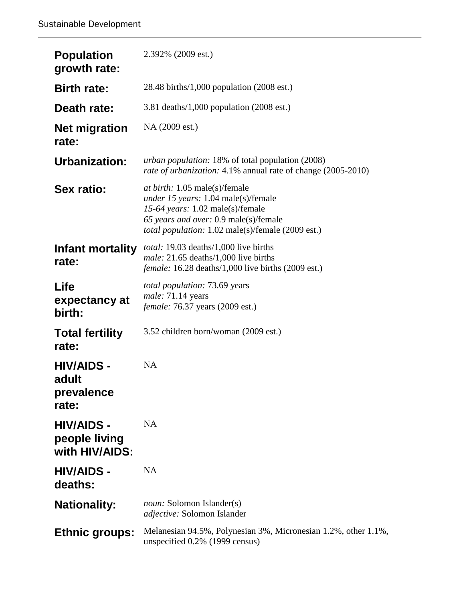| <b>Population</b><br>growth rate:                    | 2.392% (2009 est.)                                                                                                                                                                                                          |
|------------------------------------------------------|-----------------------------------------------------------------------------------------------------------------------------------------------------------------------------------------------------------------------------|
| <b>Birth rate:</b>                                   | 28.48 births/1,000 population $(2008 \text{ est.})$                                                                                                                                                                         |
| Death rate:                                          | 3.81 deaths/1,000 population $(2008 \text{ est.})$                                                                                                                                                                          |
| <b>Net migration</b><br>rate:                        | NA (2009 est.)                                                                                                                                                                                                              |
| Urbanization:                                        | <i>urban population:</i> 18% of total population (2008)<br>rate of urbanization: 4.1% annual rate of change (2005-2010)                                                                                                     |
| <b>Sex ratio:</b>                                    | <i>at birth:</i> 1.05 male(s)/female<br><i>under 15 years:</i> 1.04 male(s)/female<br>15-64 years: 1.02 male(s)/female<br>65 years and over: 0.9 male(s)/female<br><i>total population:</i> 1.02 male(s)/female (2009 est.) |
| Infant mortality<br>rate:                            | <i>total:</i> 19.03 deaths/1,000 live births<br><i>male:</i> $21.65$ deaths/1,000 live births<br><i>female:</i> 16.28 deaths/1,000 live births (2009 est.)                                                                  |
| Life<br>expectancy at<br>birth:                      | <i>total population:</i> 73.69 years<br>male: 71.14 years<br><i>female:</i> 76.37 years (2009 est.)                                                                                                                         |
| <b>Total fertility</b><br>rate:                      | 3.52 children born/woman (2009 est.)                                                                                                                                                                                        |
| <b>HIV/AIDS -</b><br>adult<br>prevalence<br>rate:    | <b>NA</b>                                                                                                                                                                                                                   |
| <b>HIV/AIDS -</b><br>people living<br>with HIV/AIDS: | <b>NA</b>                                                                                                                                                                                                                   |
| <b>HIV/AIDS -</b><br>deaths:                         | <b>NA</b>                                                                                                                                                                                                                   |
| <b>Nationality:</b>                                  | <i>noun:</i> Solomon Islander(s)<br><i>adjective:</i> Solomon Islander                                                                                                                                                      |
| <b>Ethnic groups:</b>                                | Melanesian 94.5%, Polynesian 3%, Micronesian 1.2%, other 1.1%,<br>unspecified 0.2% (1999 census)                                                                                                                            |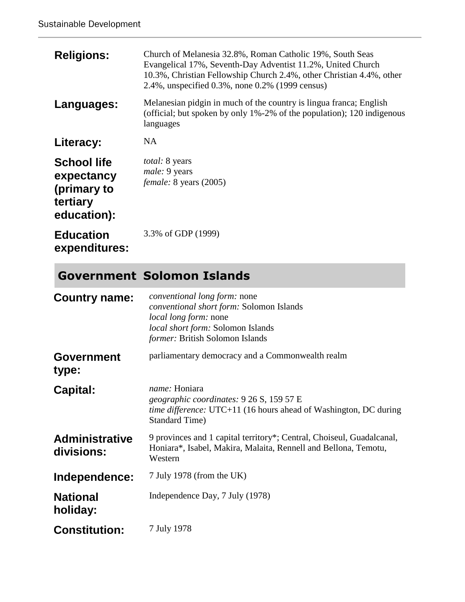| <b>Religions:</b>                                                          | Church of Melanesia 32.8%, Roman Catholic 19%, South Seas<br>Evangelical 17%, Seventh-Day Adventist 11.2%, United Church<br>10.3%, Christian Fellowship Church 2.4%, other Christian 4.4%, other<br>2.4%, unspecified 0.3%, none 0.2% (1999 census) |
|----------------------------------------------------------------------------|-----------------------------------------------------------------------------------------------------------------------------------------------------------------------------------------------------------------------------------------------------|
| Languages:                                                                 | Melanesian pidgin in much of the country is lingua franca; English<br>(official; but spoken by only 1%-2% of the population); 120 indigenous<br>languages                                                                                           |
| Literacy:                                                                  | <b>NA</b>                                                                                                                                                                                                                                           |
| <b>School life</b><br>expectancy<br>(primary to<br>tertiary<br>education): | <i>total:</i> 8 years<br><i>male:</i> 9 years<br>female: 8 years (2005)                                                                                                                                                                             |
| <b>Education</b><br>expenditures:                                          | 3.3% of GDP (1999)                                                                                                                                                                                                                                  |

# **Government Solomon Islands**

| <b>Country name:</b>                | conventional long form: none<br>conventional short form: Solomon Islands<br><i>local long form:</i> none<br>local short form: Solomon Islands<br>former: British Solomon Islands |
|-------------------------------------|----------------------------------------------------------------------------------------------------------------------------------------------------------------------------------|
| <b>Government</b><br>type:          | parliamentary democracy and a Commonwealth realm                                                                                                                                 |
| <b>Capital:</b>                     | name: Honiara<br>geographic coordinates: 9 26 S, 159 57 E<br>time difference: UTC+11 (16 hours ahead of Washington, DC during<br><b>Standard Time</b> )                          |
| <b>Administrative</b><br>divisions: | 9 provinces and 1 capital territory*; Central, Choiseul, Guadalcanal,<br>Honiara*, Isabel, Makira, Malaita, Rennell and Bellona, Temotu,<br>Western                              |
| Independence:                       | 7 July 1978 (from the UK)                                                                                                                                                        |
| <b>National</b><br>holiday:         | Independence Day, 7 July (1978)                                                                                                                                                  |
| <b>Constitution:</b>                | 7 July 1978                                                                                                                                                                      |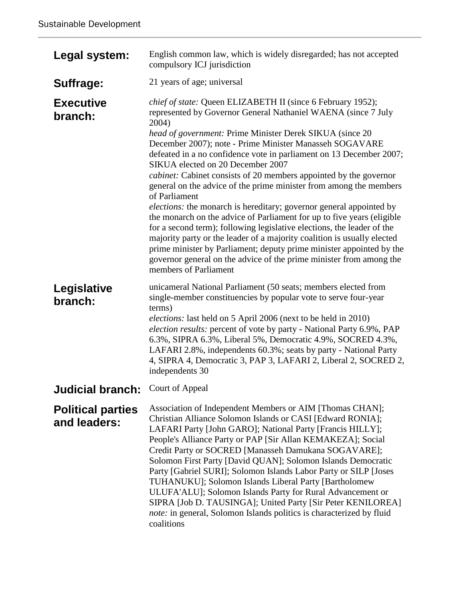| Legal system:                            | English common law, which is widely disregarded; has not accepted<br>compulsory ICJ jurisdiction                                                                                                                                                                                                                                                                                                                                                                                                                                                                                                                                                                                                                                                                                                                                                                                                                                                                                                                                 |
|------------------------------------------|----------------------------------------------------------------------------------------------------------------------------------------------------------------------------------------------------------------------------------------------------------------------------------------------------------------------------------------------------------------------------------------------------------------------------------------------------------------------------------------------------------------------------------------------------------------------------------------------------------------------------------------------------------------------------------------------------------------------------------------------------------------------------------------------------------------------------------------------------------------------------------------------------------------------------------------------------------------------------------------------------------------------------------|
| Suffrage:                                | 21 years of age; universal                                                                                                                                                                                                                                                                                                                                                                                                                                                                                                                                                                                                                                                                                                                                                                                                                                                                                                                                                                                                       |
| <b>Executive</b><br>branch:              | chief of state: Queen ELIZABETH II (since 6 February 1952);<br>represented by Governor General Nathaniel WAENA (since 7 July<br>2004)<br>head of government: Prime Minister Derek SIKUA (since 20<br>December 2007); note - Prime Minister Manasseh SOGAVARE<br>defeated in a no confidence vote in parliament on 13 December 2007;<br>SIKUA elected on 20 December 2007<br><i>cabinet:</i> Cabinet consists of 20 members appointed by the governor<br>general on the advice of the prime minister from among the members<br>of Parliament<br><i>elections:</i> the monarch is hereditary; governor general appointed by<br>the monarch on the advice of Parliament for up to five years (eligible<br>for a second term); following legislative elections, the leader of the<br>majority party or the leader of a majority coalition is usually elected<br>prime minister by Parliament; deputy prime minister appointed by the<br>governor general on the advice of the prime minister from among the<br>members of Parliament |
| Legislative<br>branch:                   | unicameral National Parliament (50 seats; members elected from<br>single-member constituencies by popular vote to serve four-year<br>terms)<br><i>elections:</i> last held on 5 April 2006 (next to be held in 2010)<br>election results: percent of vote by party - National Party 6.9%, PAP<br>6.3%, SIPRA 6.3%, Liberal 5%, Democratic 4.9%, SOCRED 4.3%,<br>LAFARI 2.8%, independents 60.3%; seats by party - National Party<br>4, SIPRA 4, Democratic 3, PAP 3, LAFARI 2, Liberal 2, SOCRED 2,<br>independents 30                                                                                                                                                                                                                                                                                                                                                                                                                                                                                                           |
| <b>Judicial branch:</b>                  | Court of Appeal                                                                                                                                                                                                                                                                                                                                                                                                                                                                                                                                                                                                                                                                                                                                                                                                                                                                                                                                                                                                                  |
| <b>Political parties</b><br>and leaders: | Association of Independent Members or AIM [Thomas CHAN];<br>Christian Alliance Solomon Islands or CASI [Edward RONIA];<br>LAFARI Party [John GARO]; National Party [Francis HILLY];<br>People's Alliance Party or PAP [Sir Allan KEMAKEZA]; Social<br>Credit Party or SOCRED [Manasseh Damukana SOGAVARE];<br>Solomon First Party [David QUAN]; Solomon Islands Democratic<br>Party [Gabriel SURI]; Solomon Islands Labor Party or SILP [Joses<br>TUHANUKU]; Solomon Islands Liberal Party [Bartholomew<br>ULUFA'ALU]; Solomon Islands Party for Rural Advancement or<br>SIPRA [Job D. TAUSINGA]; United Party [Sir Peter KENILOREA]<br>note: in general, Solomon Islands politics is characterized by fluid<br>coalitions                                                                                                                                                                                                                                                                                                       |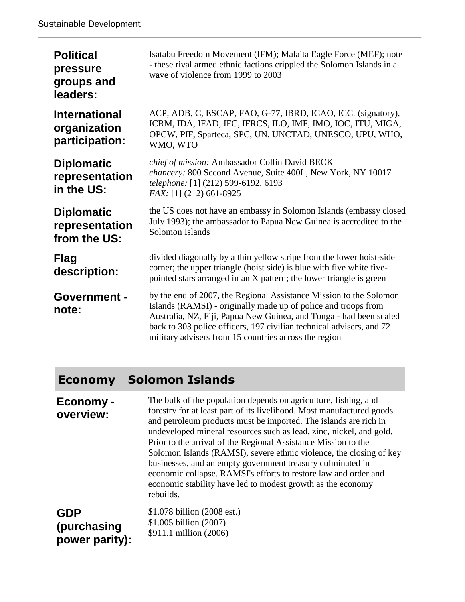| <b>Political</b><br>pressure<br>groups and<br>leaders: | Isatabu Freedom Movement (IFM); Malaita Eagle Force (MEF); note<br>- these rival armed ethnic factions crippled the Solomon Islands in a<br>wave of violence from 1999 to 2003                                                                                                                                                              |
|--------------------------------------------------------|---------------------------------------------------------------------------------------------------------------------------------------------------------------------------------------------------------------------------------------------------------------------------------------------------------------------------------------------|
| <b>International</b><br>organization<br>participation: | ACP, ADB, C, ESCAP, FAO, G-77, IBRD, ICAO, ICCt (signatory),<br>ICRM, IDA, IFAD, IFC, IFRCS, ILO, IMF, IMO, IOC, ITU, MIGA,<br>OPCW, PIF, Sparteca, SPC, UN, UNCTAD, UNESCO, UPU, WHO,<br>WMO, WTO                                                                                                                                          |
| <b>Diplomatic</b><br>representation<br>in the US:      | chief of mission: Ambassador Collin David BECK<br>chancery: 800 Second Avenue, Suite 400L, New York, NY 10017<br>telephone: [1] (212) 599-6192, 6193<br>FAX: [1] (212) 661-8925                                                                                                                                                             |
| <b>Diplomatic</b><br>representation<br>from the US:    | the US does not have an embassy in Solomon Islands (embassy closed<br>July 1993); the ambassador to Papua New Guinea is accredited to the<br>Solomon Islands                                                                                                                                                                                |
| <b>Flag</b><br>description:                            | divided diagonally by a thin yellow stripe from the lower hoist-side<br>corner; the upper triangle (hoist side) is blue with five white five-<br>pointed stars arranged in an X pattern; the lower triangle is green                                                                                                                        |
| <b>Government -</b><br>note:                           | by the end of 2007, the Regional Assistance Mission to the Solomon<br>Islands (RAMSI) - originally made up of police and troops from<br>Australia, NZ, Fiji, Papua New Guinea, and Tonga - had been scaled<br>back to 303 police officers, 197 civilian technical advisers, and 72<br>military advisers from 15 countries across the region |

## **Economy Solomon Islands**

**Economy overview:** The bulk of the population depends on agriculture, fishing, and forestry for at least part of its livelihood. Most manufactured goods and petroleum products must be imported. The islands are rich in undeveloped mineral resources such as lead, zinc, nickel, and gold. Prior to the arrival of the Regional Assistance Mission to the Solomon Islands (RAMSI), severe ethnic violence, the closing of key businesses, and an empty government treasury culminated in economic collapse. RAMSI's efforts to restore law and order and economic stability have led to modest growth as the economy rebuilds.

**GDP (purchasing power parity):** \$1.078 billion (2008 est.) \$1.005 billion (2007) \$911.1 million (2006)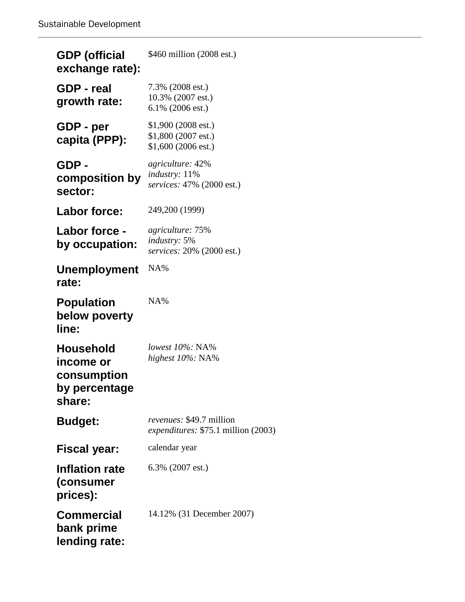| <b>GDP</b> (official<br>exchange rate):                                 | \$460 million (2008 est.)                                                         |
|-------------------------------------------------------------------------|-----------------------------------------------------------------------------------|
| GDP - real<br>growth rate:                                              | 7.3% (2008 est.)<br>10.3% (2007 est.)<br>$6.1\%$ (2006 est.)                      |
| GDP - per<br>capita (PPP):                                              | $$1,900(2008 \text{ est.})$<br>\$1,800 (2007 est.)<br>$$1,600(2006 \text{ est.})$ |
| GDP -<br>composition by<br>sector:                                      | agriculture: 42%<br><i>industry</i> : 11%<br>services: 47% (2000 est.)            |
| Labor force:                                                            | 249,200 (1999)                                                                    |
| <b>Labor force -</b><br>by occupation:                                  | agriculture: 75%<br>industry: 5%<br>services: 20% (2000 est.)                     |
| <b>Unemployment</b><br>rate:                                            | NA%                                                                               |
| <b>Population</b><br>below poverty<br>line:                             | NA%                                                                               |
| <b>Household</b><br>income or<br>consumption<br>by percentage<br>share: | lowest $10\%$ : NA%<br>highest 10%: NA%                                           |
| <b>Budget:</b>                                                          | revenues: \$49.7 million<br>expenditures: \$75.1 million (2003)                   |
| <b>Fiscal year:</b>                                                     | calendar year                                                                     |
| <b>Inflation rate</b><br>(consumer<br>prices):                          | 6.3% (2007 est.)                                                                  |
| <b>Commercial</b><br>bank prime<br>lending rate:                        | 14.12% (31 December 2007)                                                         |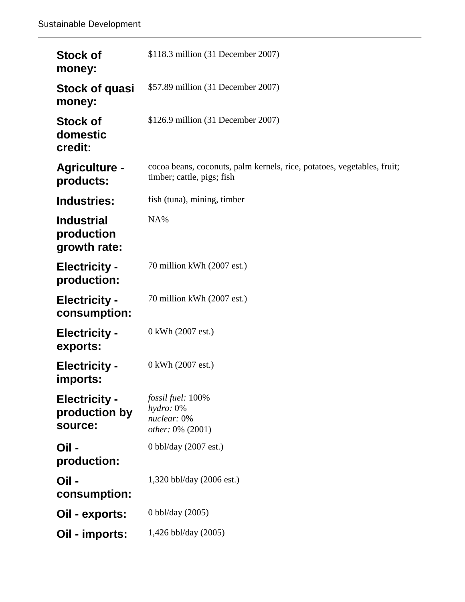| <b>Stock of</b><br>money:                        | \$118.3 million (31 December 2007)                                                                    |
|--------------------------------------------------|-------------------------------------------------------------------------------------------------------|
| Stock of quasi<br>money:                         | \$57.89 million (31 December 2007)                                                                    |
| <b>Stock of</b><br>domestic<br>credit:           | \$126.9 million (31 December 2007)                                                                    |
| <b>Agriculture -</b><br>products:                | cocoa beans, coconuts, palm kernels, rice, potatoes, vegetables, fruit;<br>timber; cattle, pigs; fish |
| Industries:                                      | fish (tuna), mining, timber                                                                           |
| <b>Industrial</b><br>production<br>growth rate:  | NA%                                                                                                   |
| <b>Electricity -</b><br>production:              | 70 million kWh (2007 est.)                                                                            |
| <b>Electricity -</b><br>consumption:             | 70 million kWh (2007 est.)                                                                            |
| <b>Electricity -</b><br>exports:                 | 0 kWh (2007 est.)                                                                                     |
| <b>Electricity -</b><br>imports:                 | 0 kWh (2007 est.)                                                                                     |
| <b>Electricity -</b><br>production by<br>source: | fossil fuel: 100%<br>hydro: 0%<br>nuclear: 0%<br><i>other:</i> 0% (2001)                              |
| Oil -<br>production:                             | 0 bbl/day $(2007 \text{ est.})$                                                                       |
| Oil -<br>consumption:                            | 1,320 bbl/day (2006 est.)                                                                             |
| Oil - exports:                                   | 0 bbl/day (2005)                                                                                      |
| Oil - imports:                                   | 1,426 bbl/day (2005)                                                                                  |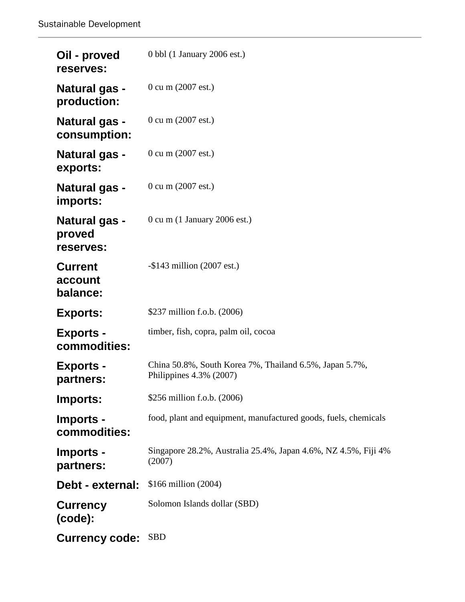| Oil - proved<br>reserves:                   | 0 bbl (1 January 2006 est.)                                                        |
|---------------------------------------------|------------------------------------------------------------------------------------|
| <b>Natural gas -</b><br>production:         | 0 cu m (2007 est.)                                                                 |
| <b>Natural gas -</b><br>consumption:        | $0 \text{ cu } m$ (2007 est.)                                                      |
| <b>Natural gas -</b><br>exports:            | 0 cu m (2007 est.)                                                                 |
| <b>Natural gas -</b><br>imports:            | 0 cu m (2007 est.)                                                                 |
| <b>Natural gas -</b><br>proved<br>reserves: | $0 \text{ cu } m$ (1 January 2006 est.)                                            |
| <b>Current</b><br>account<br>balance:       | $-$ \$143 million (2007 est.)                                                      |
| <b>Exports:</b>                             | \$237 million f.o.b. (2006)                                                        |
| <b>Exports -</b><br>commodities:            | timber, fish, copra, palm oil, cocoa                                               |
| <b>Exports -</b><br>partners:               | China 50.8%, South Korea 7%, Thailand 6.5%, Japan 5.7%,<br>Philippines 4.3% (2007) |
| Imports:                                    | \$256 million f.o.b. (2006)                                                        |
| Imports -<br>commodities:                   | food, plant and equipment, manufactured goods, fuels, chemicals                    |
| Imports -<br>partners:                      | Singapore 28.2%, Australia 25.4%, Japan 4.6%, NZ 4.5%, Fiji 4%<br>(2007)           |
| Debt - external:                            | \$166 million (2004)                                                               |
| <b>Currency</b><br>(code):                  | Solomon Islands dollar (SBD)                                                       |
| <b>Currency code:</b>                       | <b>SBD</b>                                                                         |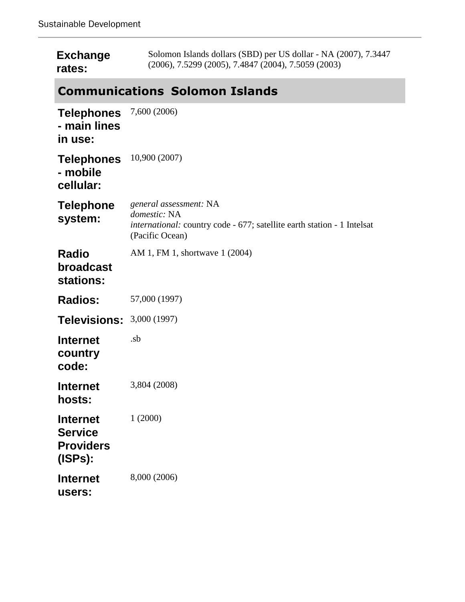| <b>Exchange</b> | Solomon Islands dollars (SBD) per US dollar - NA (2007), 7.3447 |
|-----------------|-----------------------------------------------------------------|
| rates:          | $(2006), 7.5299 (2005), 7.4847 (2004), 7.5059 (2003)$           |

# **Communications Solomon Islands**

| <b>Telephones</b><br>- main lines<br>in use:                     | 7,600 (2006)                                                                                                                         |
|------------------------------------------------------------------|--------------------------------------------------------------------------------------------------------------------------------------|
| <b>Telephones</b><br>- mobile<br>cellular:                       | 10,900 (2007)                                                                                                                        |
| <b>Telephone</b><br>system:                                      | general assessment: NA<br>domestic: NA<br>international: country code - 677; satellite earth station - 1 Intelsat<br>(Pacific Ocean) |
| <b>Radio</b><br>broadcast<br>stations:                           | AM 1, FM 1, shortwave 1 (2004)                                                                                                       |
| <b>Radios:</b>                                                   | 57,000 (1997)                                                                                                                        |
| <b>Televisions:</b>                                              | 3,000 (1997)                                                                                                                         |
| <b>Internet</b><br>country<br>code:                              | .sb                                                                                                                                  |
| <b>Internet</b><br>hosts:                                        | 3,804 (2008)                                                                                                                         |
| <b>Internet</b><br><b>Service</b><br><b>Providers</b><br>(ISPs): | 1(2000)                                                                                                                              |
| <b>Internet</b><br>users:                                        | 8,000 (2006)                                                                                                                         |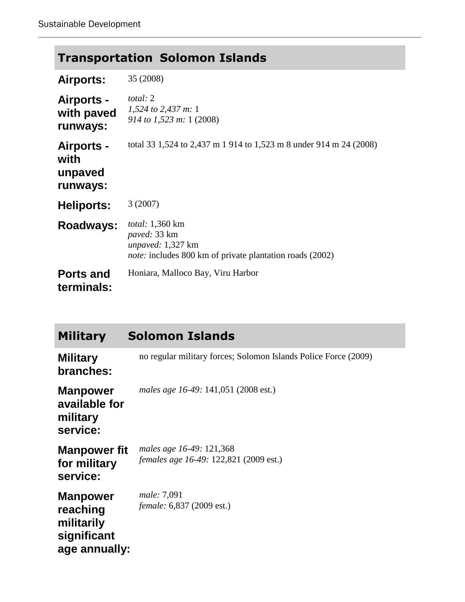| <b>Transportation Solomon Islands</b> |  |  |
|---------------------------------------|--|--|
|---------------------------------------|--|--|

| <b>Airports:</b>                                 | 35 (2008)                                                                                                                                    |
|--------------------------------------------------|----------------------------------------------------------------------------------------------------------------------------------------------|
| <b>Airports -</b><br>with paved<br>runways:      | <i>total</i> : 2<br>1,524 to 2,437 m: 1<br>914 to 1,523 m: 1 (2008)                                                                          |
| <b>Airports -</b><br>with<br>unpaved<br>runways: | total 33 1,524 to 2,437 m 1 914 to 1,523 m 8 under 914 m 24 (2008)                                                                           |
| <b>Heliports:</b>                                | 3(2007)                                                                                                                                      |
| Roadways:                                        | <i>total:</i> 1,360 km<br><i>paved:</i> 33 km<br><i>unpaved:</i> 1,327 km<br><i>note:</i> includes 800 km of private plantation roads (2002) |
| <b>Ports and</b><br>terminals:                   | Honiara, Malloco Bay, Viru Harbor                                                                                                            |

| <b>Military</b>                                                           | <b>Solomon Islands</b>                                                    |
|---------------------------------------------------------------------------|---------------------------------------------------------------------------|
| <b>Military</b><br>branches:                                              | no regular military forces; Solomon Islands Police Force (2009)           |
| <b>Manpower</b><br>available for<br>military<br>service:                  | males age 16-49: 141,051 (2008 est.)                                      |
| <b>Manpower fit</b><br>for military<br>service:                           | males age 16-49: 121,368<br><i>females age 16-49:</i> 122,821 (2009 est.) |
| <b>Manpower</b><br>reaching<br>militarily<br>significant<br>age annually: | male: 7,091<br><i>female:</i> 6,837 (2009 est.)                           |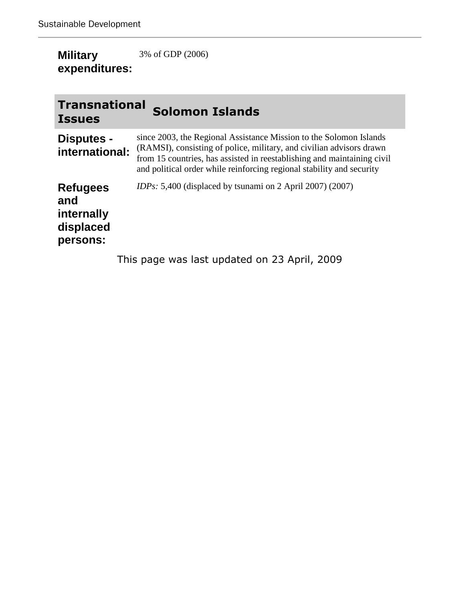| <b>Military</b> | 3% of GDP (2006) |
|-----------------|------------------|
| expenditures:   |                  |

| <b>Transnational</b><br><b>Issues</b>                         | <b>Solomon Islands</b>                                                                                                                                                                                                                                                                         |
|---------------------------------------------------------------|------------------------------------------------------------------------------------------------------------------------------------------------------------------------------------------------------------------------------------------------------------------------------------------------|
| Disputes -<br>international:                                  | since 2003, the Regional Assistance Mission to the Solomon Islands<br>(RAMSI), consisting of police, military, and civilian advisors drawn<br>from 15 countries, has assisted in reestablishing and maintaining civil<br>and political order while reinforcing regional stability and security |
| <b>Refugees</b><br>and<br>internally<br>displaced<br>persons: | <i>IDPs:</i> 5,400 (displaced by tsunami on 2 April 2007) (2007)                                                                                                                                                                                                                               |
|                                                               | This page was last updated on 23 April, 2009                                                                                                                                                                                                                                                   |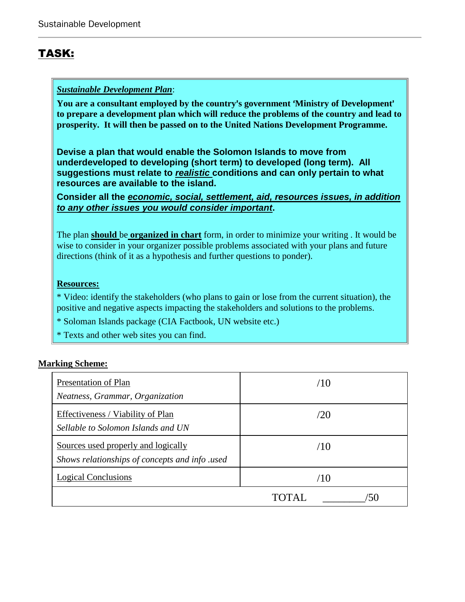## TASK:

### *Sustainable Development Plan*:

You are a consultant employed by the country's government 'Ministry of Development' **to prepare a development plan which will reduce the problems of the country and lead to prosperity. It will then be passed on to the United Nations Development Programme.**

**Devise a plan that would enable the Solomon Islands to move from underdeveloped to developing (short term) to developed (long term). All suggestions must relate to** *realistic* **conditions and can only pertain to what resources are available to the island.** 

**Consider all the** *economic, social, settlement, aid, resources issues, in addition to any other issues you would consider important***.**

The plan **should** be **organized in chart** form, in order to minimize your writing . It would be wise to consider in your organizer possible problems associated with your plans and future directions (think of it as a hypothesis and further questions to ponder).

#### **Resources:**

\* Video: identify the stakeholders (who plans to gain or lose from the current situation), the positive and negative aspects impacting the stakeholders and solutions to the problems.

- \* Soloman Islands package (CIA Factbook, UN website etc.)
- \* Texts and other web sites you can find.

#### **Marking Scheme:**

| Presentation of Plan<br>Neatness, Grammar, Organization                               | /1()                    |  |  |
|---------------------------------------------------------------------------------------|-------------------------|--|--|
| Effectiveness / Viability of Plan<br>Sellable to Solomon Islands and UN               | /2()                    |  |  |
| Sources used properly and logically<br>Shows relationships of concepts and info .used | /10                     |  |  |
| <b>Logical Conclusions</b>                                                            |                         |  |  |
|                                                                                       | TOTAL.<br>$\mathcal{L}$ |  |  |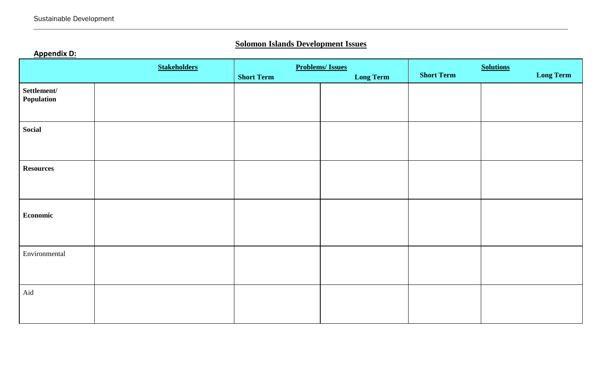## **Solomon Islands Development Issues**

## **Appendix D:**

| <b>Stakeholders</b>       |  | <b>Problems/Issues</b> |                  | <b>Solutions</b>  |                  |
|---------------------------|--|------------------------|------------------|-------------------|------------------|
|                           |  | <b>Short Term</b>      | <b>Long Term</b> | <b>Short Term</b> | <b>Long Term</b> |
| Settlement/<br>Population |  |                        |                  |                   |                  |
| <b>Social</b>             |  |                        |                  |                   |                  |
| <b>Resources</b>          |  |                        |                  |                   |                  |
| <b>Economic</b>           |  |                        |                  |                   |                  |
| Environmental             |  |                        |                  |                   |                  |
| Aid                       |  |                        |                  |                   |                  |